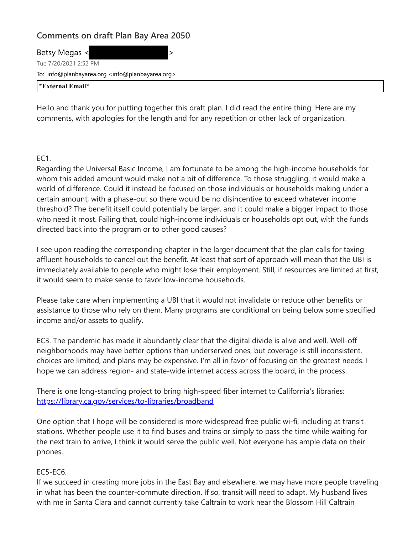# **Comments on draft Plan Bay Area 2050**

Betsy Megas < Tue 7/20/2021 2:52 PM To: info@planbayarea.org <info@planbayarea.org> **\*External Email\***

Hello and thank you for putting together this draft plan. I did read the entire thing. Here are my comments, with apologies for the length and for any repetition or other lack of organization.

EC1.

Regarding the Universal Basic Income, I am fortunate to be among the high-income households for whom this added amount would make not a bit of difference. To those struggling, it would make a world of difference. Could it instead be focused on those individuals or households making under a certain amount, with a phase-out so there would be no disincentive to exceed whatever income threshold? The benefit itself could potentially be larger, and it could make a bigger impact to those who need it most. Failing that, could high-income individuals or households opt out, with the funds directed back into the program or to other good causes?

I see upon reading the corresponding chapter in the larger document that the plan calls for taxing affluent households to cancel out the benefit. At least that sort of approach will mean that the UBI is immediately available to people who might lose their employment. Still, if resources are limited at first, it would seem to make sense to favor low-income households.

Please take care when implementing a UBI that it would not invalidate or reduce other benefits or assistance to those who rely on them. Many programs are conditional on being below some specified income and/or assets to qualify.

EC3. The pandemic has made it abundantly clear that the digital divide is alive and well. Well-off neighborhoods may have better options than underserved ones, but coverage is still inconsistent, choices are limited, and plans may be expensive. I'm all in favor of focusing on the greatest needs. I hope we can address region- and state-wide internet access across the board, in the process.

There is one long-standing project to bring high-speed fiber internet to California's libraries: [https://library.ca.gov/services/to-libraries/broadband](https://nam10.safelinks.protection.outlook.com/?url=https%3A%2F%2Flibrary.ca.gov%2Fservices%2Fto-libraries%2Fbroadband&data=04%7C01%7Cplanbayareainfo%40bayareametro.gov%7Caa69dd79535344e41cd808d94bc8a00c%7Cb084c4a0bb194142b70382ea65a5eeb2%7C0%7C1%7C637624147330353680%7CUnknown%7CTWFpbGZsb3d8eyJWIjoiMC4wLjAwMDAiLCJQIjoiV2luMzIiLCJBTiI6Ik1haWwiLCJXVCI6Mn0%3D%7C3000&sdata=6MEbPQGVV1jKinzCdQj1pwx%2FtlkpSmZ6wW0be93fY%2FM%3D&reserved=0)

One option that I hope will be considered is more widespread free public wi-fi, including at transit stations. Whether people use it to find buses and trains or simply to pass the time while waiting for the next train to arrive, I think it would serve the public well. Not everyone has ample data on their phones.

## EC5-EC6.

If we succeed in creating more jobs in the East Bay and elsewhere, we may have more people traveling in what has been the counter-commute direction. If so, transit will need to adapt. My husband lives with me in Santa Clara and cannot currently take Caltrain to work near the Blossom Hill Caltrain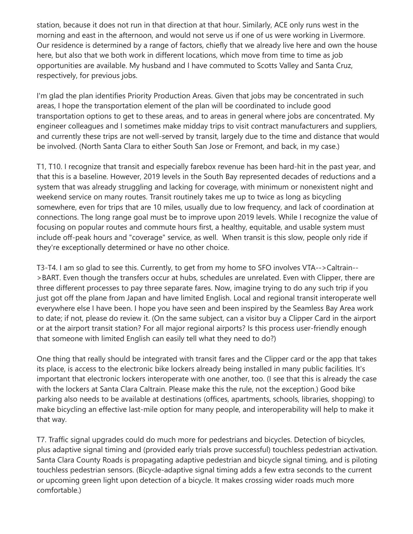station, because it does not run in that direction at that hour. Similarly, ACE only runs west in the morning and east in the afternoon, and would not serve us if one of us were working in Livermore. Our residence is determined by a range of factors, chiefly that we already live here and own the house here, but also that we both work in different locations, which move from time to time as job opportunities are available. My husband and I have commuted to Scotts Valley and Santa Cruz, respectively, for previous jobs.

I'm glad the plan identifies Priority Production Areas. Given that jobs may be concentrated in such areas, I hope the transportation element of the plan will be coordinated to include good transportation options to get to these areas, and to areas in general where jobs are concentrated. My engineer colleagues and I sometimes make midday trips to visit contract manufacturers and suppliers, and currently these trips are not well-served by transit, largely due to the time and distance that would be involved. (North Santa Clara to either South San Jose or Fremont, and back, in my case.)

T1, T10. I recognize that transit and especially farebox revenue has been hard-hit in the past year, and that this is a baseline. However, 2019 levels in the South Bay represented decades of reductions and a system that was already struggling and lacking for coverage, with minimum or nonexistent night and weekend service on many routes. Transit routinely takes me up to twice as long as bicycling somewhere, even for trips that are 10 miles, usually due to low frequency, and lack of coordination at connections. The long range goal must be to improve upon 2019 levels. While I recognize the value of focusing on popular routes and commute hours first, a healthy, equitable, and usable system must include off-peak hours and "coverage" service, as well. When transit is this slow, people only ride if they're exceptionally determined or have no other choice.

T3-T4. I am so glad to see this. Currently, to get from my home to SFO involves VTA-->Caltrain-- >BART. Even though the transfers occur at hubs, schedules are unrelated. Even with Clipper, there are three different processes to pay three separate fares. Now, imagine trying to do any such trip if you just got off the plane from Japan and have limited English. Local and regional transit interoperate well everywhere else I have been. I hope you have seen and been inspired by the Seamless Bay Area work to date; if not, please do review it. (On the same subject, can a visitor buy a Clipper Card in the airport or at the airport transit station? For all major regional airports? Is this process user-friendly enough that someone with limited English can easily tell what they need to do?)

One thing that really should be integrated with transit fares and the Clipper card or the app that takes its place, is access to the electronic bike lockers already being installed in many public facilities. It's important that electronic lockers interoperate with one another, too. (I see that this is already the case with the lockers at Santa Clara Caltrain. Please make this the rule, not the exception.) Good bike parking also needs to be available at destinations (offices, apartments, schools, libraries, shopping) to make bicycling an effective last-mile option for many people, and interoperability will help to make it that way.

T7. Traffic signal upgrades could do much more for pedestrians and bicycles. Detection of bicycles, plus adaptive signal timing and (provided early trials prove successful) touchless pedestrian activation. Santa Clara County Roads is propagating adaptive pedestrian and bicycle signal timing, and is piloting touchless pedestrian sensors. (Bicycle-adaptive signal timing adds a few extra seconds to the current or upcoming green light upon detection of a bicycle. It makes crossing wider roads much more comfortable.)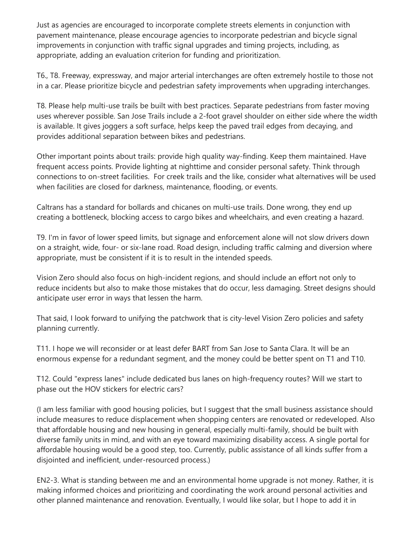Just as agencies are encouraged to incorporate complete streets elements in conjunction with pavement maintenance, please encourage agencies to incorporate pedestrian and bicycle signal improvements in conjunction with traffic signal upgrades and timing projects, including, as appropriate, adding an evaluation criterion for funding and prioritization.

T6., T8. Freeway, expressway, and major arterial interchanges are often extremely hostile to those not in a car. Please prioritize bicycle and pedestrian safety improvements when upgrading interchanges.

T8. Please help multi-use trails be built with best practices. Separate pedestrians from faster moving uses wherever possible. San Jose Trails include a 2-foot gravel shoulder on either side where the width is available. It gives joggers a soft surface, helps keep the paved trail edges from decaying, and provides additional separation between bikes and pedestrians.

Other important points about trails: provide high quality way-finding. Keep them maintained. Have frequent access points. Provide lighting at nighttime and consider personal safety. Think through connections to on-street facilities. For creek trails and the like, consider what alternatives will be used when facilities are closed for darkness, maintenance, flooding, or events.

Caltrans has a standard for bollards and chicanes on multi-use trails. Done wrong, they end up creating a bottleneck, blocking access to cargo bikes and wheelchairs, and even creating a hazard.

T9. I'm in favor of lower speed limits, but signage and enforcement alone will not slow drivers down on a straight, wide, four- or six-lane road. Road design, including traffic calming and diversion where appropriate, must be consistent if it is to result in the intended speeds.

Vision Zero should also focus on high-incident regions, and should include an effort not only to reduce incidents but also to make those mistakes that do occur, less damaging. Street designs should anticipate user error in ways that lessen the harm.

That said, I look forward to unifying the patchwork that is city-level Vision Zero policies and safety planning currently.

T11. I hope we will reconsider or at least defer BART from San Jose to Santa Clara. It will be an enormous expense for a redundant segment, and the money could be better spent on T1 and T10.

T12. Could "express lanes" include dedicated bus lanes on high-frequency routes? Will we start to phase out the HOV stickers for electric cars?

(I am less familiar with good housing policies, but I suggest that the small business assistance should include measures to reduce displacement when shopping centers are renovated or redeveloped. Also that affordable housing and new housing in general, especially multi-family, should be built with diverse family units in mind, and with an eye toward maximizing disability access. A single portal for affordable housing would be a good step, too. Currently, public assistance of all kinds suffer from a disjointed and inefficient, under-resourced process.)

EN2-3. What is standing between me and an environmental home upgrade is not money. Rather, it is making informed choices and prioritizing and coordinating the work around personal activities and other planned maintenance and renovation. Eventually, I would like solar, but I hope to add it in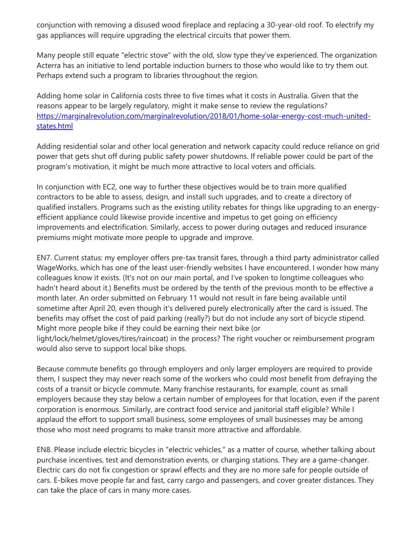conjunction with removing a disused wood fireplace and replacing a 30-year-old roof. To electrify my gas appliances will require upgrading the electrical circuits that power them.

Many people still equate "electric stove" with the old, slow type they've experienced. The organization Acterra has an initiative to lend portable induction burners to those who would like to try them out. Perhaps extend such a program to libraries throughout the region.

Adding home solar in California costs three to five times what it costs in Australia. Given that the reasons appear to be largely regulatory, might it make sense to review the regulations? [https://marginalrevolution.com/marginalrevolution/2018/01/home-solar-energy-cost-much-united](https://nam10.safelinks.protection.outlook.com/?url=https%3A%2F%2Fmarginalrevolution.com%2Fmarginalrevolution%2F2018%2F01%2Fhome-solar-energy-cost-much-united-states.html&data=04%7C01%7Cplanbayareainfo%40bayareametro.gov%7Caa69dd79535344e41cd808d94bc8a00c%7Cb084c4a0bb194142b70382ea65a5eeb2%7C0%7C1%7C637624147330363637%7CUnknown%7CTWFpbGZsb3d8eyJWIjoiMC4wLjAwMDAiLCJQIjoiV2luMzIiLCJBTiI6Ik1haWwiLCJXVCI6Mn0%3D%7C3000&sdata=pq6fv5wvrHH1qzCcAUcXNN%2B%2B8h3wfHSt%2BStzRUUcLus%3D&reserved=0)states.html

Adding residential solar and other local generation and network capacity could reduce reliance on grid power that gets shut off during public safety power shutdowns. If reliable power could be part of the program's motivation, it might be much more attractive to local voters and officials.

In conjunction with EC2, one way to further these objectives would be to train more qualified contractors to be able to assess, design, and install such upgrades, and to create a directory of qualified installers. Programs such as the existing utility rebates for things like upgrading to an energyefficient appliance could likewise provide incentive and impetus to get going on efficiency improvements and electrification. Similarly, access to power during outages and reduced insurance premiums might motivate more people to upgrade and improve.

EN7. Current status: my employer offers pre-tax transit fares, through a third party administrator called WageWorks, which has one of the least user-friendly websites I have encountered. I wonder how many colleagues know it exists. (It's not on our main portal, and I've spoken to longtime colleagues who hadn't heard about it.) Benefits must be ordered by the tenth of the previous month to be effective a month later. An order submitted on February 11 would not result in fare being available until sometime after April 20, even though it's delivered purely electronically after the card is issued. The benefits may offset the cost of paid parking (really?) but do not include any sort of bicycle stipend. Might more people bike if they could be earning their next bike (or light/lock/helmet/gloves/tires/raincoat) in the process? The right voucher or reimbursement program would also serve to support local bike shops.

Because commute benefits go through employers and only larger employers are required to provide them, I suspect they may never reach some of the workers who could most benefit from defraying the costs of a transit or bicycle commute. Many franchise restaurants, for example, count as small employers because they stay below a certain number of employees for that location, even if the parent corporation is enormous. Similarly, are contract food service and janitorial staff eligible? While I applaud the effort to support small business, some employees of small businesses may be among those who most need programs to make transit more attractive and affordable.

EN8. Please include electric bicycles in "electric vehicles," as a matter of course, whether talking about purchase incentives, test and demonstration events, or charging stations. They are a game-changer. Electric cars do not fix congestion or sprawl effects and they are no more safe for people outside of cars. E-bikes move people far and fast, carry cargo and passengers, and cover greater distances. They can take the place of cars in many more cases.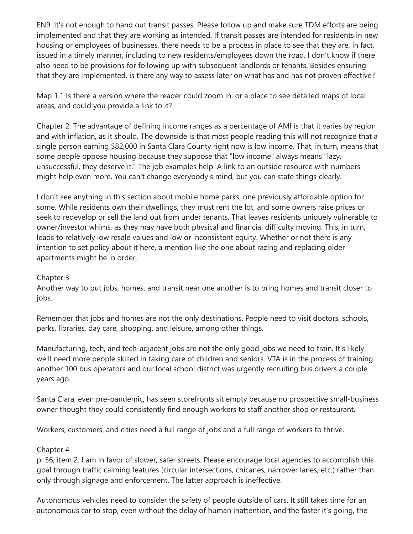EN9. It's not enough to hand out transit passes. Please follow up and make sure TDM efforts are being implemented and that they are working as intended. If transit passes are intended for residents in new housing or employees of businesses, there needs to be a process in place to see that they are, in fact, issued in a timely manner, including to new residents/employees down the road. I don't know if there also need to be provisions for following up with subsequent landlords or tenants. Besides ensuring that they are implemented, is there any way to assess later on what has and has not proven effective?

Map 1.1 Is there a version where the reader could zoom in, or a place to see detailed maps of local areas, and could you provide a link to it?

Chapter 2: The advantage of defining income ranges as a percentage of AMI is that it varies by region and with inflation, as it should. The downside is that most people reading this will not recognize that a single person earning \$82,000 in Santa Clara County right now is low income. That, in turn, means that some people oppose housing because they suppose that "low income" always means "lazy, unsuccessful, they deserve it." The job examples help. A link to an outside resource with numbers might help even more. You can't change everybody's mind, but you can state things clearly.

I don't see anything in this section about mobile home parks, one previously affordable option for some. While residents own their dwellings, they must rent the lot, and some owners raise prices or seek to redevelop or sell the land out from under tenants. That leaves residents uniquely vulnerable to owner/investor whims, as they may have both physical and financial difficulty moving. This, in turn, leads to relatively low resale values and low or inconsistent equity. Whether or not there is any intention to set policy about it here, a mention like the one about razing and replacing older apartments might be in order.

### Chapter 3

Another way to put jobs, homes, and transit near one another is to bring homes and transit closer to jobs.

Remember that jobs and homes are not the only destinations. People need to visit doctors, schools, parks, libraries, day care, shopping, and leisure, among other things.

Manufacturing, tech, and tech-adjacent jobs are not the only good jobs we need to train. It's likely we'll need more people skilled in taking care of children and seniors. VTA is in the process of training another 100 bus operators and our local school district was urgently recruiting bus drivers a couple years ago.

Santa Clara, even pre-pandemic, has seen storefronts sit empty because no prospective small-business owner thought they could consistently find enough workers to staff another shop or restaurant.

Workers, customers, and cities need a full range of jobs and a full range of workers to thrive.

## Chapter 4

p. 56, item 2. I am in favor of slower, safer streets. Please encourage local agencies to accomplish this goal through traffic calming features (circular intersections, chicanes, narrower lanes, etc.) rather than only through signage and enforcement. The latter approach is ineffective.

Autonomous vehicles need to consider the safety of people outside of cars. It still takes time for an autonomous car to stop, even without the delay of human inattention, and the faster it's going, the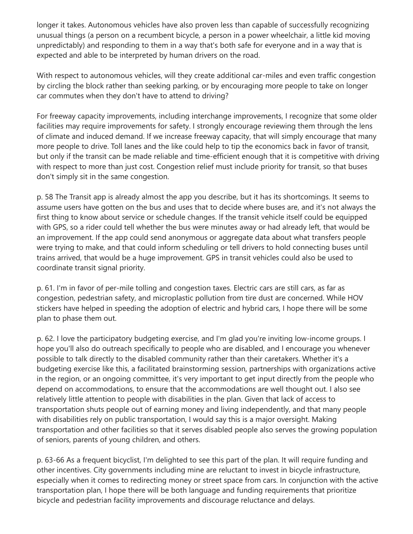longer it takes. Autonomous vehicles have also proven less than capable of successfully recognizing unusual things (a person on a recumbent bicycle, a person in a power wheelchair, a little kid moving unpredictably) and responding to them in a way that's both safe for everyone and in a way that is expected and able to be interpreted by human drivers on the road.

With respect to autonomous vehicles, will they create additional car-miles and even traffic congestion by circling the block rather than seeking parking, or by encouraging more people to take on longer car commutes when they don't have to attend to driving?

For freeway capacity improvements, including interchange improvements, I recognize that some older facilities may require improvements for safety. I strongly encourage reviewing them through the lens of climate and induced demand. If we increase freeway capacity, that will simply encourage that many more people to drive. Toll lanes and the like could help to tip the economics back in favor of transit, but only if the transit can be made reliable and time-efficient enough that it is competitive with driving with respect to more than just cost. Congestion relief must include priority for transit, so that buses don't simply sit in the same congestion.

p. 58 The Transit app is already almost the app you describe, but it has its shortcomings. It seems to assume users have gotten on the bus and uses that to decide where buses are, and it's not always the first thing to know about service or schedule changes. If the transit vehicle itself could be equipped with GPS, so a rider could tell whether the bus were minutes away or had already left, that would be an improvement. If the app could send anonymous or aggregate data about what transfers people were trying to make, and that could inform scheduling or tell drivers to hold connecting buses until trains arrived, that would be a huge improvement. GPS in transit vehicles could also be used to coordinate transit signal priority.

p. 61. I'm in favor of per-mile tolling and congestion taxes. Electric cars are still cars, as far as congestion, pedestrian safety, and microplastic pollution from tire dust are concerned. While HOV stickers have helped in speeding the adoption of electric and hybrid cars, I hope there will be some plan to phase them out.

p. 62. I love the participatory budgeting exercise, and I'm glad you're inviting low-income groups. I hope you'll also do outreach specifically to people who are disabled, and I encourage you whenever possible to talk directly to the disabled community rather than their caretakers. Whether it's a budgeting exercise like this, a facilitated brainstorming session, partnerships with organizations active in the region, or an ongoing committee, it's very important to get input directly from the people who depend on accommodations, to ensure that the accommodations are well thought out. I also see relatively little attention to people with disabilities in the plan. Given that lack of access to transportation shuts people out of earning money and living independently, and that many people with disabilities rely on public transportation, I would say this is a major oversight. Making transportation and other facilities so that it serves disabled people also serves the growing population of seniors, parents of young children, and others.

p. 63-66 As a frequent bicyclist, I'm delighted to see this part of the plan. It will require funding and other incentives. City governments including mine are reluctant to invest in bicycle infrastructure, especially when it comes to redirecting money or street space from cars. In conjunction with the active transportation plan, I hope there will be both language and funding requirements that prioritize bicycle and pedestrian facility improvements and discourage reluctance and delays.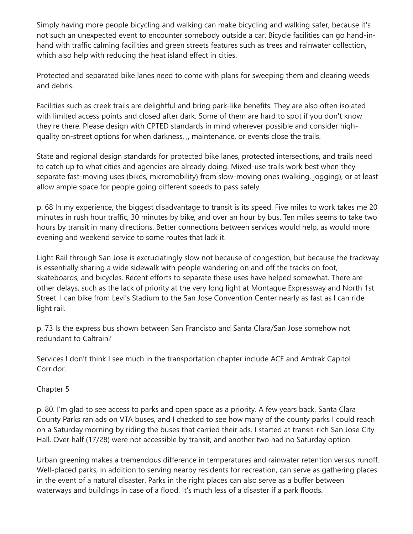Simply having more people bicycling and walking can make bicycling and walking safer, because it's not such an unexpected event to encounter somebody outside a car. Bicycle facilities can go hand-inhand with traffic calming facilities and green streets features such as trees and rainwater collection, which also help with reducing the heat island effect in cities.

Protected and separated bike lanes need to come with plans for sweeping them and clearing weeds and debris.

Facilities such as creek trails are delightful and bring park-like benefits. They are also often isolated with limited access points and closed after dark. Some of them are hard to spot if you don't know they're there. Please design with CPTED standards in mind wherever possible and consider highquality on-street options for when darkness, ,, maintenance, or events close the trails.

State and regional design standards for protected bike lanes, protected intersections, and trails need to catch up to what cities and agencies are already doing. Mixed-use trails work best when they separate fast-moving uses (bikes, micromobility) from slow-moving ones (walking, jogging), or at least allow ample space for people going different speeds to pass safely.

p. 68 In my experience, the biggest disadvantage to transit is its speed. Five miles to work takes me 20 minutes in rush hour traffic, 30 minutes by bike, and over an hour by bus. Ten miles seems to take two hours by transit in many directions. Better connections between services would help, as would more evening and weekend service to some routes that lack it.

Light Rail through San Jose is excruciatingly slow not because of congestion, but because the trackway is essentially sharing a wide sidewalk with people wandering on and off the tracks on foot, skateboards, and bicycles. Recent efforts to separate these uses have helped somewhat. There are other delays, such as the lack of priority at the very long light at Montague Expressway and North 1st Street. I can bike from Levi's Stadium to the San Jose Convention Center nearly as fast as I can ride light rail.

p. 73 Is the express bus shown between San Francisco and Santa Clara/San Jose somehow not redundant to Caltrain?

Services I don't think I see much in the transportation chapter include ACE and Amtrak Capitol Corridor.

Chapter 5

p. 80. I'm glad to see access to parks and open space as a priority. A few years back, Santa Clara County Parks ran ads on VTA buses, and I checked to see how many of the county parks I could reach on a Saturday morning by riding the buses that carried their ads. I started at transit-rich San Jose City Hall. Over half (17/28) were not accessible by transit, and another two had no Saturday option.

Urban greening makes a tremendous difference in temperatures and rainwater retention versus runoff. Well-placed parks, in addition to serving nearby residents for recreation, can serve as gathering places in the event of a natural disaster. Parks in the right places can also serve as a buffer between waterways and buildings in case of a flood. It's much less of a disaster if a park floods.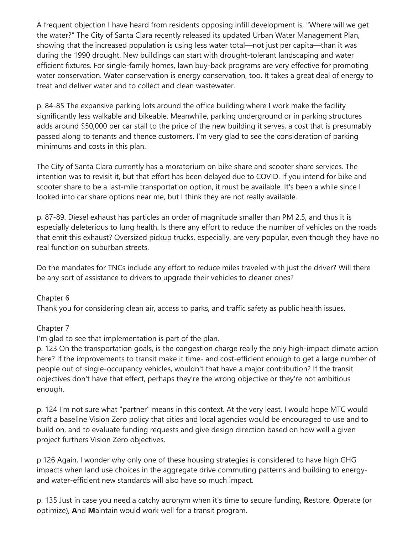A frequent objection I have heard from residents opposing infill development is, "Where will we get the water?" The City of Santa Clara recently released its updated Urban Water Management Plan, showing that the increased population is using less water total—not just per capita—than it was during the 1990 drought. New buildings can start with drought-tolerant landscaping and water efficient fixtures. For single-family homes, lawn buy-back programs are very effective for promoting water conservation. Water conservation is energy conservation, too. It takes a great deal of energy to treat and deliver water and to collect and clean wastewater.

p. 84-85 The expansive parking lots around the office building where I work make the facility significantly less walkable and bikeable. Meanwhile, parking underground or in parking structures adds around \$50,000 per car stall to the price of the new building it serves, a cost that is presumably passed along to tenants and thence customers. I'm very glad to see the consideration of parking minimums and costs in this plan.

The City of Santa Clara currently has a moratorium on bike share and scooter share services. The intention was to revisit it, but that effort has been delayed due to COVID. If you intend for bike and scooter share to be a last-mile transportation option, it must be available. It's been a while since I looked into car share options near me, but I think they are not really available.

p. 87-89. Diesel exhaust has particles an order of magnitude smaller than PM 2.5, and thus it is especially deleterious to lung health. Is there any effort to reduce the number of vehicles on the roads that emit this exhaust? Oversized pickup trucks, especially, are very popular, even though they have no real function on suburban streets.

Do the mandates for TNCs include any effort to reduce miles traveled with just the driver? Will there be any sort of assistance to drivers to upgrade their vehicles to cleaner ones?

### Chapter 6

Thank you for considering clean air, access to parks, and traffic safety as public health issues.

### Chapter 7

I'm glad to see that implementation is part of the plan.

p. 123 On the transportation goals, is the congestion charge really the only high-impact climate action here? If the improvements to transit make it time- and cost-efficient enough to get a large number of people out of single-occupancy vehicles, wouldn't that have a major contribution? If the transit objectives don't have that effect, perhaps they're the wrong objective or they're not ambitious enough.

p. 124 I'm not sure what "partner" means in this context. At the very least, I would hope MTC would craft a baseline Vision Zero policy that cities and local agencies would be encouraged to use and to build on, and to evaluate funding requests and give design direction based on how well a given project furthers Vision Zero objectives.

p.126 Again, I wonder why only one of these housing strategies is considered to have high GHG impacts when land use choices in the aggregate drive commuting patterns and building to energyand water-efficient new standards will also have so much impact.

p. 135 Just in case you need a catchy acronym when it's time to secure funding, **R**estore, **O**perate (or optimize), **A**nd **M**aintain would work well for a transit program.